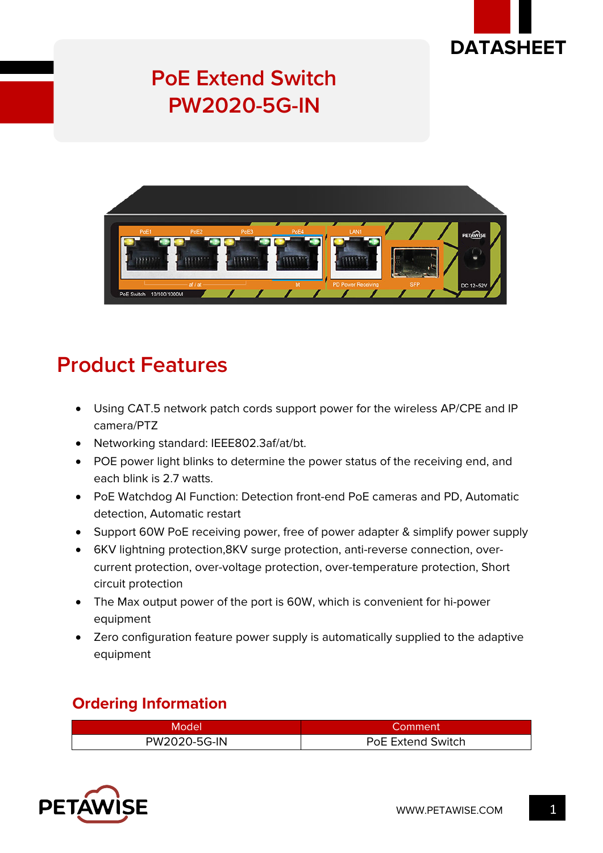

# **PoE Extend Switch PW2020-5G-IN**



## **Product Features**

- Using CAT.5 network patch cords support power for the wireless AP/CPE and IP camera/PTZ
- Networking standard: IEEE802.3af/at/bt.
- POE power light blinks to determine the power status of the receiving end, and each blink is 2.7 watts.
- PoE Watchdog AI Function: Detection front-end PoE cameras and PD, Automatic detection, Automatic restart
- Support 60W PoE receiving power, free of power adapter & simplify power supply
- 6KV lightning protection,8KV surge protection, anti-reverse connection, overcurrent protection, over-voltage protection, over-temperature protection, Short circuit protection
- The Max output power of the port is 60W, which is convenient for hi-power equipment
- Zero configuration feature power supply is automatically supplied to the adaptive equipment

### **Ordering Information**

| Model        | Comment           |
|--------------|-------------------|
| PW2020-5G-IN | PoE Extend Switch |

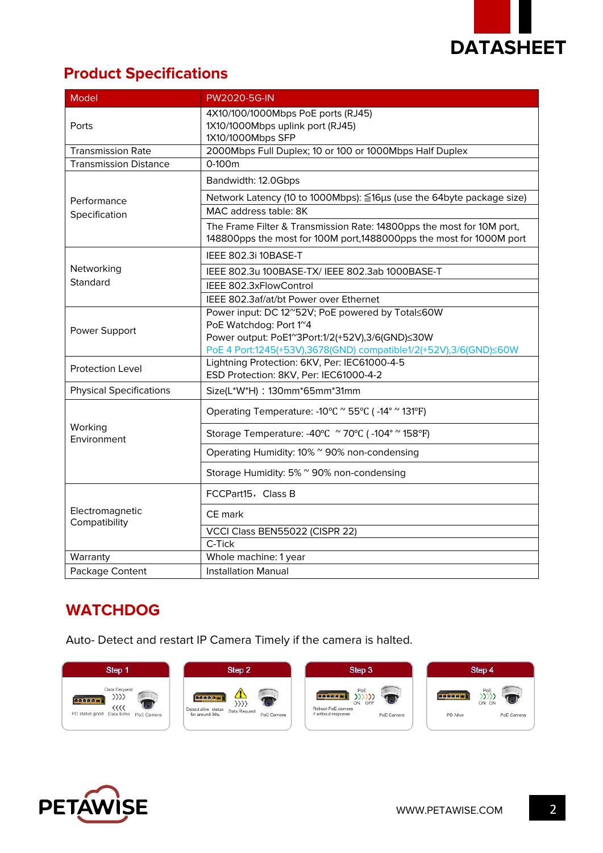

## **Product Specifications**

| <b>Model</b>                     | <b>PW2020-5G-IN</b>                                                                                                                          |
|----------------------------------|----------------------------------------------------------------------------------------------------------------------------------------------|
| Ports                            | 4X10/100/1000Mbps PoE ports (RJ45)<br>1X10/1000Mbps uplink port (RJ45)<br>1X10/1000Mbps SFP                                                  |
| <b>Transmission Rate</b>         | 2000Mbps Full Duplex; 10 or 100 or 1000Mbps Half Duplex                                                                                      |
| <b>Transmission Distance</b>     | 0-100m                                                                                                                                       |
| Performance<br>Specification     | Bandwidth: 12.0Gbps                                                                                                                          |
|                                  | Network Latency (10 to 1000Mbps): ≦16µs (use the 64byte package size)                                                                        |
|                                  | MAC address table: 8K                                                                                                                        |
|                                  | The Frame Filter & Transmission Rate: 14800pps the most for 10M port,<br>148800pps the most for 100M port,1488000pps the most for 1000M port |
| Networking<br>Standard           | IEEE 802.3i 10BASE-T                                                                                                                         |
|                                  | IEEE 802.3u 100BASE-TX/IEEE 802.3ab 1000BASE-T                                                                                               |
|                                  | IEEE 802.3xFlowControl                                                                                                                       |
|                                  | IEEE 802.3af/at/bt Power over Ethernet                                                                                                       |
| Power Support                    | Power input: DC 12~52V; PoE powered by Total≤60W                                                                                             |
|                                  | PoE Watchdog: Port 1 <sup>~4</sup>                                                                                                           |
|                                  | Power output: PoE1 <sup>~</sup> 3Port:1/2(+52V),3/6(GND)≤30W                                                                                 |
|                                  | PoE 4 Port:1245(+53V),3678(GND) compatible1/2(+52V),3/6(GND)≤60W<br>Lightning Protection: 6KV, Per: IEC61000-4-5                             |
| <b>Protection Level</b>          | ESD Protection: 8KV, Per: IEC61000-4-2                                                                                                       |
| <b>Physical Specifications</b>   | Size(L*W*H): 130mm*65mm*31mm                                                                                                                 |
| Working<br>Environment           | Operating Temperature: -10°C <sup>~</sup> 55°C (-14° <sup>~</sup> 131°F)                                                                     |
|                                  | Storage Temperature: -40°C <sup>~</sup> 70°C (-104° <sup>~</sup> 158°F)                                                                      |
|                                  | Operating Humidity: 10% ~ 90% non-condensing                                                                                                 |
|                                  | Storage Humidity: 5% ~ 90% non-condensing                                                                                                    |
| Electromagnetic<br>Compatibility | FCCPart15, Class B                                                                                                                           |
|                                  | CE mark                                                                                                                                      |
|                                  | VCCI Class BEN55022 (CISPR 22)                                                                                                               |
|                                  | C-Tick                                                                                                                                       |
| Warranty                         | Whole machine: 1 year                                                                                                                        |
| Package Content                  | <b>Installation Manual</b>                                                                                                                   |

## **WATCHDOG**

Auto- Detect and restart IP Camera Timely if the camera is halted.